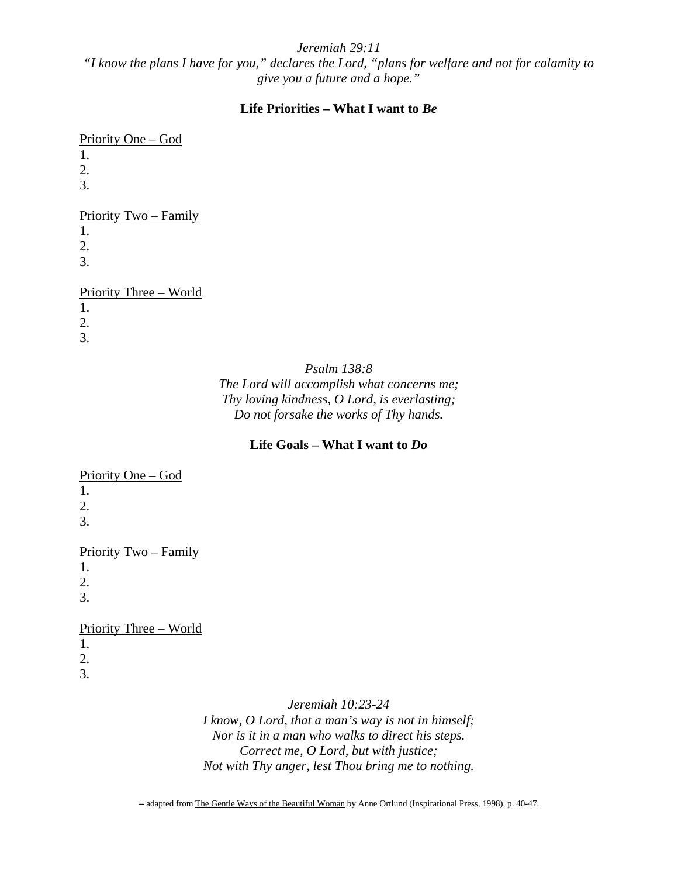#### *Jeremiah 29:11*

*"I know the plans I have for you," declares the Lord, "plans for welfare and not for calamity to give you a future and a hope."* 

#### **Life Priorities – What I want to** *Be*

#### Priority One – God

- 1.
- 2.
- 3.

#### Priority Two – Family

- 1.
- 2.
- 3.

## Priority Three – World

- 1.
- 2.
- 3.

*Psalm 138:8* 

*The Lord will accomplish what concerns me; Thy loving kindness, O Lord, is everlasting; Do not forsake the works of Thy hands.*

#### **Life Goals – What I want to** *Do*

## Priority One – God

- 1.
- 2.
- 3.

## Priority Two – Family

1.

2.

3.

# Priority Three – World

- 1.
- 2.
- 3.

## *Jeremiah 10:23-24*

*I know, O Lord, that a man's way is not in himself; Nor is it in a man who walks to direct his steps. Correct me, O Lord, but with justice; Not with Thy anger, lest Thou bring me to nothing.* 

-- adapted from The Gentle Ways of the Beautiful Woman by Anne Ortlund (Inspirational Press, 1998), p. 40-47.